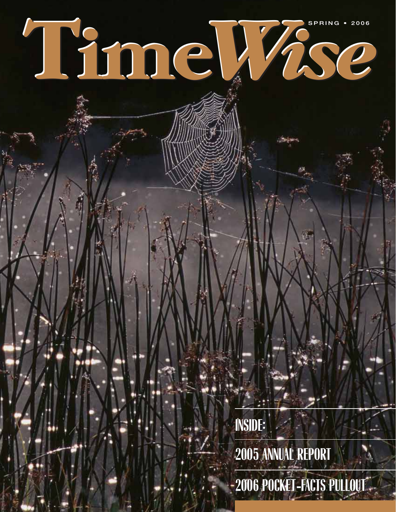# **SPRING • 2006 Time***Wise* **SPRING • 2006**

**INSIDE: INSIDE: 2005 ANNUAL REPORT 2005 ANNUAL REPORT**

**2006 POCKET-FACTS PULLOUT 2006 POCKET-FACTS PULLOUT**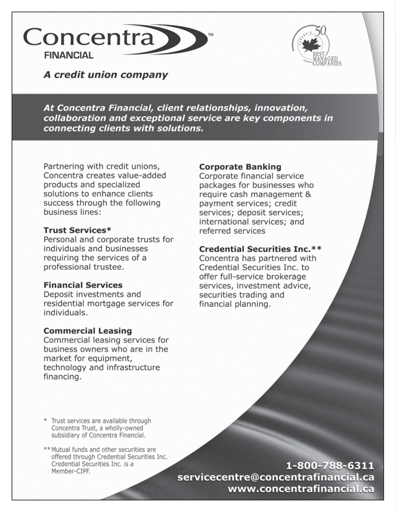



A credit union company

At Concentra Financial, client relationships, innovation, collaboration and exceptional service are key components in connecting clients with solutions.

Partnering with credit unions, Concentra creates value-added products and specialized solutions to enhance clients success through the following business lines:

#### **Trust Services\***

Personal and corporate trusts for individuals and businesses requiring the services of a professional trustee.

#### **Financial Services**

Deposit investments and residential mortgage services for individuals.

#### **Commercial Leasing**

Commercial leasing services for business owners who are in the market for equipment, technology and infrastructure financing.

#### **Corporate Banking**

Corporate financial service packages for businesses who require cash management & payment services; credit services; deposit services; international services; and referred services

#### **Credential Securities Inc.\*\***

Concentra has partnered with Credential Securities Inc. to offer full-service brokerage services, investment advice, securities trading and financial planning.

\* Trust services are available through Concentra Trust, a wholly-owned subsidiary of Concentra Financial.

\*\* Mutual funds and other securities are offered through Credential Securities Inc. Credential Securities Inc. is a Member-CIPF.

1-800-788-6311 servicecentre@concentrafinancial.ca www.concentrafinancial.ca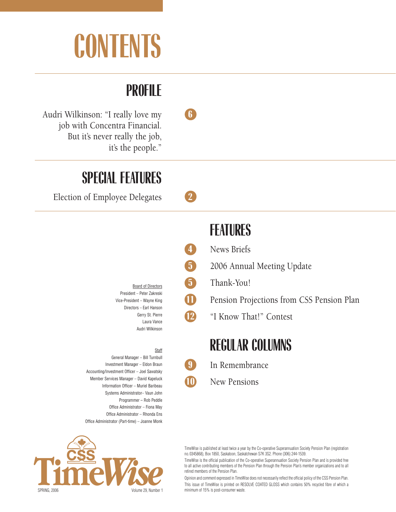# **CONTENTS**

#### **PROFILE**

Audri Wilkinson: "I really love my **6** job with Concentra Financial. But it's never really the job, it's the people."

#### **SPECIAL FEATURES**

Election of Employee Delegates **2**

Board of Directors President – Peter Zakreski Vice-President – Wayne King Directors – Earl Hanson Gerry St. Pierre Laura Vance Audri Wilkinson

#### **Staff**

General Manager – Bill Turnbull Investment Manager – Eldon Braun Accounting/Investment Officer – Joel Sawatsky Member Services Manager – David Kapeluck Information Officer – Muriel Baribeau Systems Administrator– Vaun John Programmer – Rob Peddle Office Administrator – Fiona May Office Administrator – Rhonda Ens Office Administrator (Part-time) – Joanne Monk

## **Time Wise** SPRING, 2006 Volume 29, Number 1

TimeWise is published at least twice a year by the Co-operative Superannuation Society Pension Plan (registration no. 0345868), Box 1850, Saskatoon, Saskatchewan S7K 3S2. Phone (306) 244-1539.

TimeWise is the official publication of the Co-operative Superannuation Society Pension Plan and is provided free to all active contributing members of the Pension Plan through the Pension Plan's member organizations and to all retired members of the Pension Plan.

Opinion and comment expressed in TimeWise does not necessarily reflect the official policy of the CSS Pension Plan. This issue of TimeWise is printed on RESOLVE COATED GLOSS which contains 50% recycled fibre of which a minimum of 15% is post-consumer waste.

#### **FEATURES**

- **4** News Briefs
- **5** 2006 Annual Meeting Update
- **5** Thank-You!
- **11** Pension Projections from CSS Pension Plan
	- **12** "I Know That!" Contest

#### **REGULAR COLUMNS**

- **9** In Remembrance
- **10** New Pensions



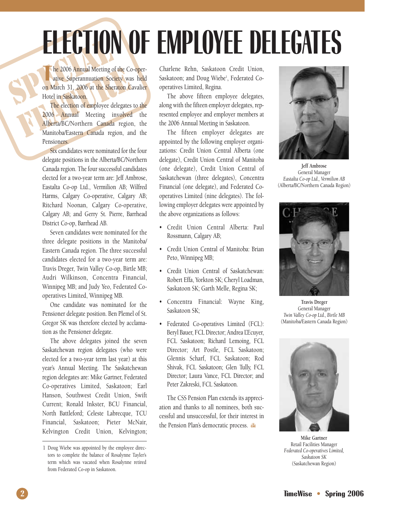# **ELECTION OF EMPLOYEE DELEGATES**

THE 2006 Annual Meeting of Annual Meeting of Annual Meeting of Annual Meeting of Annual Meeting of Annual Meeting of Annual Meeting of Annual Meeting of Annual Meeting of Annual Meeting of Annual Meeting of Annual Meeting The 2006 Annual Meeting of the Co-operative Superannuation Society was held<br>on March 31, 2006 at the Sheraton Cavalier he 2006 Annual Meeting of the Co-operative Superannuation Society was held Hotel in Saskatoon.

The 2006 Annual Meeting of the Condition Society was on March 31, 2006 at the Sheraton C.<br>Hotel in Saskatoon.<br>The election of employee delegates<br>2006 Annual Meeting involved<br>Alberta/BC/Northern Canada region Manitoba/Easte The election of employee delegates to the 2006 Annual Meeting involved the Alberta/BC/Northern Canada region, the Manitoba/Eastern Canada region, and the Pensioners.

> Six candidates were nominated for the four delegate positions in the Alberta/BC/Northern Canada region. The four successful candidates elected for a two-year term are: Jeff Ambrose, Eastalta Co-op Ltd., Vermilion AB; Wilfred Harms, Calgary Co-operative, Calgary AB; Ritchard Noonan, Calgary Co-operative, Calgary AB; and Gerry St. Pierre, Barrhead District Co-op, Barrhead AB.

> Seven candidates were nominated for the three delegate positions in the Manitoba/ Eastern Canada region. The three successful candidates elected for a two-year term are: Travis Dreger, Twin Valley Co-op, Birtle MB; Audri Wilkinson, Concentra Financial, Winnipeg MB; and Judy Yeo, Federated Cooperatives Limited, Winnipeg MB.

> One candidate was nominated for the Pensioner delegate position. Ben Plemel of St. Gregor SK was therefore elected by acclamation as the Pensioner delegate.

> The above delegates joined the seven Saskatchewan region delegates (who were elected for a two-year term last year) at this year's Annual Meeting. The Saskatchewan region delegates are: Mike Gartner, Federated Co-operatives Limited, Saskatoon; Earl Hanson, Southwest Credit Union, Swift Current; Ronald Inkster, BCU Financial, North Battleford; Celeste Labrecque, TCU Financial, Saskatoon; Pieter McNair, Kelvington Credit Union, Kelvington;

Charlene Rehn, Saskatoon Credit Union, Saskatoon; and Doug Wiebe<sup>1</sup>, Federated Cooperatives Limited, Regina.

The above fifteen employee delegates, along with the fifteen employer delegates, represented employee and employer members at the 2006 Annual Meeting in Saskatoon.

The fifteen employer delegates are appointed by the following employer organizations: Credit Union Central Alberta (one delegate), Credit Union Central of Manitoba (one delegate), Credit Union Central of Saskatchewan (three delegates), Concentra Financial (one delegate), and Federated Cooperatives Limited (nine delegates). The following employer delegates were appointed by the above organizations as follows:

- Credit Union Central Alberta: Paul Rossmann, Calgary AB;
- Credit Union Central of Manitoba: Brian Peto, Winnipeg MB;
- Credit Union Central of Saskatchewan: Robert Effa, Yorkton SK; Cheryl Loadman, Saskatoon SK; Garth Melle, Regina SK;
- Concentra Financial: Wayne King, Saskatoon SK;
- Federated Co-operatives Limited (FCL): Beryl Bauer, FCL Director; Andrea L'Ecuyer, FCL Saskatoon; Richard Lemoing, FCL Director; Art Postle, FCL Saskatoon; Glennis Scharf, FCL Saskatoon; Rod Shivak, FCL Saskatoon; Glen Tully, FCL Director; Laura Vance, FCL Director; and Peter Zakreski, FCL Saskatoon.

The CSS Pension Plan extends its appreciation and thanks to all nominees, both successful and unsuccessful, for their interest in the Pension Plan's democratic process.



**Jeff Ambrose** General Manager *Eastalta Co-op Ltd., Vermilion AB* (Alberta/BC/Northern Canada Region)



**Travis Dreger** General Manager *Twin Valley Co-op Ltd., Birtle MB* (Manitoba/Eastern Canada Region)



**Mike Gartner** Retail Facilities Manager *Federated Co-operatives Limited, Saskatoon SK* (Saskatchewan Region)

<sup>1</sup> Doug Wiebe was appointed by the employee directors to complete the balance of Rosalynne Tayler's term which was vacated when Rosalynne retired from Federated Co-op in Saskatoon.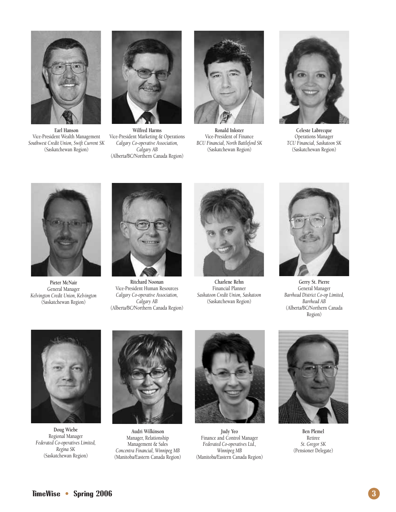

**Earl Hanson** Vice-President Wealth Management *Southwest Credit Union, Swift Current SK* (Saskatchewan Region)



**Wilfred Harms** Vice-President Marketing & Operations *Calgary Co-operative Association, Calgary AB* (Alberta/BC/Northern Canada Region)



**Ronald Inkster** Vice-President of Finance *BCU Financial, North Battleford SK* (Saskatchewan Region)



**Celeste Labrecque** Operations Manager *TCU Financial, Saskatoon SK* (Saskatchewan Region)



**Pieter McNair** General Manager *Kelvington Credit Union, Kelvington* (Saskatchewan Region)



**Ritchard Noonan** Vice-President Human Resources *Calgary Co-operative Association, Calgary AB* (Alberta/BC/Northern Canada Region)



**Charlene Rehn** Financial Planner *Saskatoon Credit Union, Saskatoon* (Saskatchewan Region)



**Gerry St. Pierre** General Manager *Barrhead District Co-op Limited, Barrhead AB* (Alberta/BC/Northern Canada Region)



**Doug Wiebe** Regional Manager *Federated Co-operatives Limited, Regina SK* (Saskatchewan Region)



**Audri Wilkinson** Manager, Relationship Management & Sales *Concentra Financial, Winnipeg MB* (Manitoba/Eastern Canada Region)



**Judy Yeo** Finance and Control Manager *Federated Co-operatives Ltd., Winnipeg MB* (Manitoba/Eastern Canada Region)



**Ben Plemel** Retiree *St. Gregor SK* (Pensioner Delegate)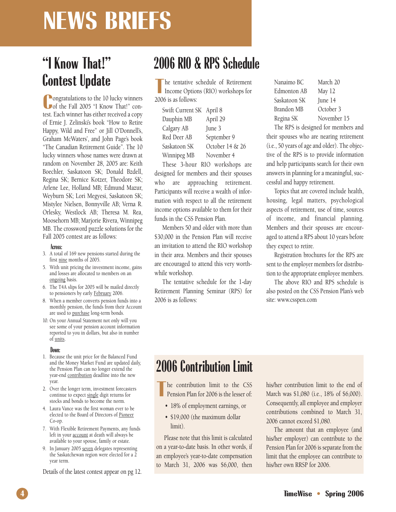### **NEWS BRIEFS**

#### **"I Know That!" Contest Update**

**C**ongratulations to the 10 lucky winners<br>
of the Fall 2005 "I Know That!" con-**O** ongratulations to the 10 lucky winners test. Each winner has either received a copy of Ernie J. Zelinski's book "How to Retire Happy, Wild and Free" or Jill O'Donnell's, Graham McWaters', and John Page's book "The Canadian Retirement Guide". The 10 lucky winners whose names were drawn at random on November 28, 2005 are: Keith Boechler, Saskatoon SK; Donald Bzdell, Regina SK; Bernice Kotzer, Theodore SK; Arlene Lee, Holland MB; Edmund Mazur, Weyburn SK; Lori Megyesi, Saskatoon SK; Mistylee Nielsen, Bonnyville AB; Verna R. Orlesky, Westlock AB; Theresa M. Rea, Moosehorn MB; Marjorie Rivera, Winnipeg MB. The crossword puzzle solutions for the Fall 2005 contest are as follows:

#### **Across:**

- 3. A total of 169 new pensions started during the first nine months of 2005.
- 5. With unit pricing the investment income, gains and losses are allocated to members on an ongoing basis.
- 6. The T4A slips for 2005 will be mailed directly to pensioners by early February 2006.
- 8. When a member converts pension funds into a monthly pension, the funds from their Account are used to purchase long-term bonds.
- 10. On your Annual Statement not only will you see some of your pension account information reported to you in dollars, but also in number of units.

#### **Down:**

- 1. Because the unit price for the Balanced Fund and the Money Market Fund are updated daily, the Pension Plan can no longer extend the year-end contribution deadline into the new year.
- 2. Over the longer term, investment forecasters continue to expect single digit returns for stocks and bonds to become the norm.
- 4. Laura Vance was the first woman ever to be elected to the Board of Directors of Pioneer Co-op.
- 7. With Flexible Retirement Payments, any funds left in your account at death will always be available to your spouse, family or estate.
- 9. In January 2005 seven delegates representing the Saskatchewan region were elected for a 2 year term.

Details of the latest contest appear on pg 12.

#### **2006 RIO & RPS Schedule**

The tentative s<br>
Income Optio<br>
2006 is as follows: he tentative schedule of Retirement Income Options (RIO) workshops for

| Swift Current SK April 8 |                 |
|--------------------------|-----------------|
| Dauphin MB               | April 29        |
| Calgary AB               | June 3          |
| Red Deer AB              | September 9     |
| Saskatoon SK             | October 14 & 26 |
| Winnipeg MB              | November 4      |

These 3-hour RIO workshops are designed for members and their spouses who are approaching retirement. Participants will receive a wealth of information with respect to all the retirement income options available to them for their funds in the CSS Pension Plan.

Members 50 and older with more than \$30,000 in the Pension Plan will receive an invitation to attend the RIO workshop in their area. Members and their spouses are encouraged to attend this very worthwhile workshop.

The tentative schedule for the 1-day Retirement Planning Seminar (RPS) for 2006 is as follows:

| Nanaimo BC   | March 20    |
|--------------|-------------|
| Edmonton AB  | May 12      |
| Saskatoon SK | June 14     |
| Brandon MB   | October 3   |
| Regina SK    | November 15 |
|              |             |

The RPS is designed for members and their spouses who are nearing retirement (i.e., 50 years of age and older). The objective of the RPS is to provide information and help participants search for their own answers in planning for a meaningful, successful and happy retirement.

Topics that are covered include health, housing, legal matters, psychological aspects of retirement, use of time, sources of income, and financial planning. Members and their spouses are encouraged to attend a RPS about 10 years before they expect to retire.

Registration brochures for the RPS are sent to the employer members for distribution to the appropriate employee members.

The above RIO and RPS schedule is also posted on the CSS Pension Plan's web site: www.csspen.com

#### **2006 Contribution Limit**

**T** he contribution limit to the CSS Pension Plan for 2006 is the lesser of:

- 18% of employment earnings, or
- \$19,000 (the maximum dollar limit).

Please note that this limit is calculated on a year-to-date basis. In other words, if an employee's year-to-date compensation to March 31, 2006 was \$6,000, then

his/her contribution limit to the end of March was \$1,080 (i.e., 18% of \$6,000). Consequently, all employee and employer contributions combined to March 31, 2006 cannot exceed \$1,080.

The amount that an employee (and his/her employer) can contribute to the Pension Plan for 2006 is separate from the limit that the employee can contribute to his/her own RRSP for 2006.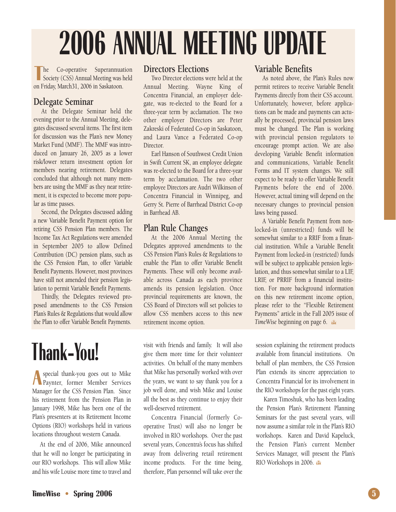# **2006 ANNUAL MEETING UPDATE**

**T he**Co-operative
Society (CSS) Annual Meeting was l<br>
on Friday, March31, 2006 in Saskatoon. he Co-operative Superannuation Society (CSS) Annual Meeting was held

#### **Delegate Seminar**

At the Delegate Seminar held the evening prior to the Annual Meeting, delegates discussed several items. The first item for discussion was the Plan's new Money Market Fund (MMF). The MMF was introduced on January 26, 2005 as a lower risk/lower return investment option for members nearing retirement. Delegates concluded that although not many members are using the MMF as they near retirement, it is expected to become more popular as time passes.

Second, the Delegates discussed adding a new Variable Benefit Payment option for retiring CSS Pension Plan members. The Income Tax Act Regulations were amended in September 2005 to allow Defined Contribution (DC) pension plans, such as the CSS Pension Plan, to offer Variable Benefit Payments. However, most provinces have still not amended their pension legislation to permit Variable Benefit Payments.

Thirdly, the Delegates reviewed proposed amendments to the CSS Pension Plan's Rules & Regulations that would allow the Plan to offer Variable Benefit Payments.

### **Thank-You!**

**A** special thank-you goes out to Mike Paynter, former Member Services Manager for the CSS Pension Plan. Since his retirement from the Pension Plan in January 1998, Mike has been one of the Plan's presenters at its Retirement Income Options (RIO) workshops held in various locations throughout western Canada.

At the end of 2006, Mike announced that he will no longer be participating in our RIO workshops. This will allow Mike and his wife Louise more time to travel and

#### **Directors Elections**

Two Director elections were held at the Annual Meeting. Wayne King of Concentra Financial, an employer delegate, was re-elected to the Board for a three-year term by acclamation. The two other employer Directors are Peter Zakreski of Federated Co-op in Saskatoon, and Laura Vance a Federated Co-op Director.

Earl Hanson of Southwest Credit Union in Swift Current SK, an employee delegate was re-elected to the Board for a three-year term by acclamation. The two other employee Directors are Audri Wilkinson of Concentra Financial in Winnipeg, and Gerry St. Pierre of Barrhead District Co-op in Barrhead AB.

#### **Plan Rule Changes**

At the 2006 Annual Meeting the Delegates approved amendments to the CSS Pension Plan's Rules & Regulations to enable the Plan to offer Variable Benefit Payments. These will only become available across Canada as each province amends its pension legislation. Once provincial requirements are known, the CSS Board of Directors will set policies to allow CSS members access to this new retirement income option.

visit with friends and family. It will also give them more time for their volunteer activities. On behalf of the many members that Mike has personally worked with over the years, we want to say thank you for a job well done, and wish Mike and Louise all the best as they continue to enjoy their well-deserved retirement.

Concentra Financial (formerly Cooperative Trust) will also no longer be involved in RIO workshops. Over the past several years, Concentra's focus has shifted away from delivering retail retirement income products. For the time being, therefore, Plan personnel will take over the

#### **Variable Benefits**

As noted above, the Plan's Rules now permit retirees to receive Variable Benefit Payments directly from their CSS account. Unfortunately, however, before applications can be made and payments can actually be processed, provincial pension laws must be changed. The Plan is working with provincial pension regulators to encourage prompt action. We are also developing Variable Benefit information and communications, Variable Benefit Forms and IT system changes. We still expect to be ready to offer Variable Benefit Payments before the end of 2006. However, actual timing will depend on the necessary changes to provincial pension laws being passed.

A Variable Benefit Payment from nonlocked-in (unrestricted) funds will be somewhat similar to a RRIF from a financial institution. While a Variable Benefit Payment from locked-in (restricted) funds will be subject to applicable pension legislation, and thus somewhat similar to a LIF, LRIF, or PRRIF from a financial institution. For more background information on this new retirement income option, please refer to the "Flexible Retirement Payments" article in the Fall 2005 issue of *TimeWise* beginning on page 6.

session explaining the retirement products available from financial institutions. On behalf of plan members, the CSS Pension Plan extends its sincere appreciation to Concentra Financial for its involvement in the RIO workshops for the past eight years.

Karen Timoshuk, who has been leading the Pension Plan's Retirement Planning Seminars for the past several years, will now assume a similar role in the Plan's RIO workshops. Karen and David Kapeluck, the Pension Plan's current Member Services Manager, will present the Plan's RIO Workshops in 2006.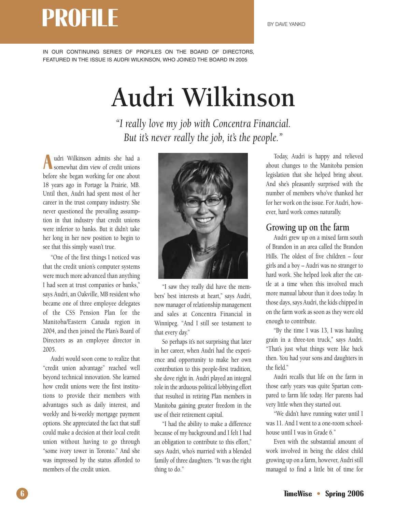### **PROFILE** BY DAVE YANKO

IN OUR CONTINUING SERIES OF PROFILES ON THE BOARD OF DIRECTORS, FEATURED IN THE ISSUE IS AUDRI WILKINSON, WHO JOINED THE BOARD IN 2005

### **Audri Wilkinson**

*"I really love my job with Concentra Financial. But it's never really the job, it's the people."*

**A** udri Wilkinson admits she had a<br>somewhat dim view of credit unions udri Wilkinson admits she had a before she began working for one about 18 years ago in Portage la Prairie, MB. Until then, Audri had spent most of her career in the trust company industry. She never questioned the prevailing assumption in that industry that credit unions were inferior to banks. But it didn't take her long in her new position to begin to see that this simply wasn't true.

"One of the first things I noticed was that the credit union's computer systems were much more advanced than anything I had seen at trust companies or banks,'' says Audri, an Oakville, MB resident who became one of three employee delegates of the CSS Pension Plan for the Manitoba/Eastern Canada region in 2004, and then joined the Plan's Board of Directors as an employee director in 2005.

Audri would soon come to realize that "credit union advantage" reached well beyond technical innovation. She learned how credit unions were the first institutions to provide their members with advantages such as daily interest, and weekly and bi-weekly mortgage payment options. She appreciated the fact that staff could make a decision at their local credit union without having to go through "some ivory tower in Toronto.'' And she was impressed by the status afforded to members of the credit union.



"I saw they really did have the members' best interests at heart," says Audri, now manager of relationship management and sales at Concentra Financial in Winnipeg. "And I still see testament to that every day.''

So perhaps it's not surprising that later in her career, when Audri had the experience and opportunity to make her own contribution to this people-first tradition, she dove right in. Audri played an integral role in the arduous political lobbying effort that resulted in retiring Plan members in Manitoba gaining greater freedom in the use of their retirement capital.

"I had the ability to make a difference because of my background and I felt I had an obligation to contribute to this effort,'' says Audri, who's married with a blended family of three daughters. "It was the right thing to do."

Today, Audri is happy and relieved about changes to the Manitoba pension legislation that she helped bring about. And she's pleasantly surprised with the number of members who've thanked her for her work on the issue. For Audri, however, hard work comes naturally.

#### **Growing up on the farm**

Audri grew up on a mixed farm south of Brandon in an area called the Brandon Hills. The oldest of five children – four girls and a boy – Audri was no stranger to hard work. She helped look after the cattle at a time when this involved much more manual labour than it does today. In those days, says Audri, the kids chipped in on the farm work as soon as they were old enough to contribute.

"By the time I was 13, I was hauling grain in a three-ton truck,'' says Audri. "That's just what things were like back then. You had your sons and daughters in the field.''

Audri recalls that life on the farm in those early years was quite Spartan compared to farm life today. Her parents had very little when they started out.

"We didn't have running water until I was 11. And I went to a one-room schoolhouse until I was in Grade 6."

Even with the substantial amount of work involved in being the eldest child growing up on a farm, however, Audri still managed to find a little bit of time for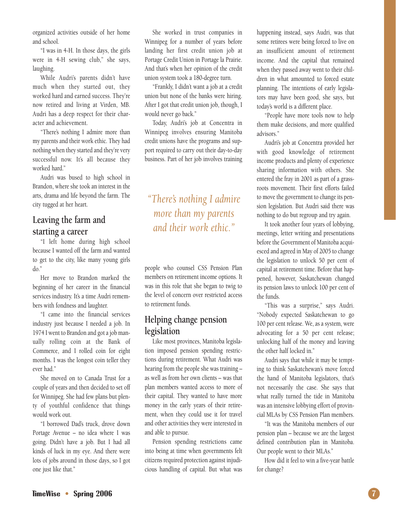organized activities outside of her home and school.

"I was in 4-H. In those days, the girls were in 4-H sewing club," she says, laughing.

While Audri's parents didn't have much when they started out, they worked hard and earned success. They're now retired and living at Virden, MB. Audri has a deep respect for their character and achievement.

"There's nothing I admire more than my parents and their work ethic. They had nothing when they started and they're very successful now. It's all because they worked hard.''

Audri was bused to high school in Brandon, where she took an interest in the arts, drama and life beyond the farm. The city tugged at her heart.

#### **Leaving the farm and starting a career**

"I left home during high school because I wanted off the farm and wanted to get to the city, like many young girls  $do.$ 

Her move to Brandon marked the beginning of her career in the financial services industry. It's a time Audri remembers with fondness and laughter.

"I came into the financial services industry just because I needed a job. In 1974 I went to Brandon and got a job manually rolling coin at the Bank of Commerce, and I rolled coin for eight months. I was the longest coin teller they ever had."

She moved on to Canada Trust for a couple of years and then decided to set off for Winnipeg. She had few plans but plenty of youthful confidence that things would work out.

"I borrowed Dad's truck, drove down Portage Avenue – no idea where I was going. Didn't have a job. But I had all kinds of luck in my eye. And there were lots of jobs around in those days, so I got one just like that.''

She worked in trust companies in Winnipeg for a number of years before landing her first credit union job at Portage Credit Union in Portage la Prairie. And that's when her opinion of the credit union system took a 180-degree turn.

"Frankly, I didn't want a job at a credit union but none of the banks were hiring. After I got that credit union job, though, I would never go back.''

Today, Audri's job at Concentra in Winnipeg involves ensuring Manitoba credit unions have the programs and support required to carry out their day-to-day business. Part of her job involves training

*"There's nothing I admire more than my parents and their work ethic."*

people who counsel CSS Pension Plan members on retirement income options. It was in this role that she began to twig to the level of concern over restricted access to retirement funds.

#### **Helping change pension legislation**

Like most provinces, Manitoba legislation imposed pension spending restrictions during retirement. What Audri was hearing from the people she was training – as well as from her own clients – was that plan members wanted access to more of their capital. They wanted to have more money in the early years of their retirement, when they could use it for travel and other activities they were interested in and able to pursue.

Pension spending restrictions came into being at time when governments felt citizens required protection against injudicious handling of capital. But what was

happening instead, says Audri, was that some retirees were being forced to live on an insufficient amount of retirement income. And the capital that remained when they passed away went to their children in what amounted to forced estate planning. The intentions of early legislators may have been good, she says, but today's world is a different place.

"People have more tools now to help them make decisions, and more qualified advisors."

Audri's job at Concentra provided her with good knowledge of retirement income products and plenty of experience sharing information with others. She entered the fray in 2001 as part of a grassroots movement. Their first efforts failed to move the government to change its pension legislation. But Audri said there was nothing to do but regroup and try again.

It took another four years of lobbying, meetings, letter writing and presentations before the Government of Manitoba acquiesced and agreed in May of 2005 to change the legislation to unlock 50 per cent of capital at retirement time. Before that happened, however, Saskatchewan changed its pension laws to unlock 100 per cent of the funds.

"This was a surprise," says Audri. "Nobody expected Saskatchewan to go 100 per cent release. We, as a system, were advocating for a 50 per cent release; unlocking half of the money and leaving the other half locked in.''

Audri says that while it may be tempting to think Saskatchewan's move forced the hand of Manitoba legislators, that's not necessarily the case. She says that what really turned the tide in Manitoba was an intensive lobbying effort of provincial MLAs by CSS Pension Plan members.

"It was the Manitoba members of our pension plan – because we are the largest defined contribution plan in Manitoba. Our people went to their MLAs.''

How did it feel to win a five-year battle for change?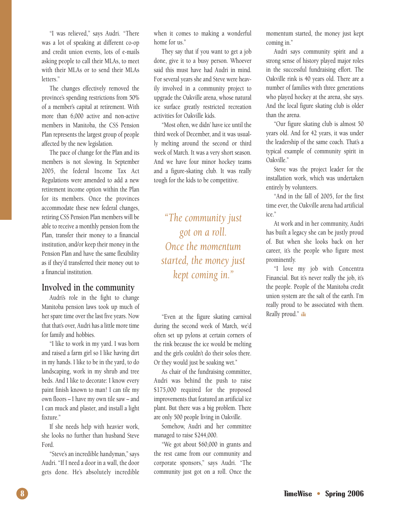"I was relieved,'' says Audri. "There was a lot of speaking at different co-op and credit union events, lots of e-mails asking people to call their MLAs, to meet with their MLAs or to send their MLAs letters.''

The changes effectively removed the province's spending restrictions from 50% of a member's capital at retirement. With more than 6,000 active and non-active members in Manitoba, the CSS Pension Plan represents the largest group of people affected by the new legislation.

The pace of change for the Plan and its members is not slowing. In September 2005, the federal Income Tax Act Regulations were amended to add a new retirement income option within the Plan for its members. Once the provinces accommodate these new federal changes, retiring CSS Pension Plan members will be able to receive a monthly pension from the Plan, transfer their money to a financial institution, and/or keep their money in the Pension Plan and have the same flexibility as if they'd transferred their money out to a financial institution.

#### **Involved in the community**

Audri's role in the fight to change Manitoba pension laws took up much of her spare time over the last five years. Now that that's over, Audri has a little more time for family and hobbies.

"I like to work in my yard. I was born and raised a farm girl so I like having dirt in my hands. I like to be in the yard, to do landscaping, work in my shrub and tree beds. And I like to decorate: I know every paint finish known to man! I can tile my own floors – I have my own tile saw – and I can muck and plaster, and install a light fixture.''

If she needs help with heavier work, she looks no further than husband Steve Ford.

"Steve's an incredible handyman,'' says Audri. "If I need a door in a wall, the door gets done. He's absolutely incredible when it comes to making a wonderful home for us.''

They say that if you want to get a job done, give it to a busy person. Whoever said this must have had Audri in mind. For several years she and Steve were heavily involved in a community project to upgrade the Oakville arena, whose natural ice surface greatly restricted recreation activities for Oakville kids.

"Most often, we didn' have ice until the third week of December, and it was usually melting around the second or third week of March. It was a very short season. And we have four minor hockey teams and a figure-skating club. It was really tough for the kids to be competitive.

*"The community just got on a roll. Once the momentum started, the money just kept coming in.''*

"Even at the figure skating carnival during the second week of March, we'd often set up pylons at certain corners of the rink because the ice would be melting and the girls couldn't do their solos there. Or they would just be soaking wet.''

As chair of the fundraising committee, Audri was behind the push to raise \$175,000 required for the proposed improvements that featured an artificial ice plant. But there was a big problem. There are only 500 people living in Oakville.

Somehow, Audri and her committee managed to raise \$244,000.

"We got about \$60,000 in grants and the rest came from our community and corporate sponsors,'' says Audri. "The community just got on a roll. Once the momentum started, the money just kept coming in.''

Audri says community spirit and a strong sense of history played major roles in the successful fundraising effort. The Oakville rink is 40 years old. There are a number of families with three generations who played hockey at the arena, she says. And the local figure skating club is older than the arena.

"Our figure skating club is almost 50 years old. And for 42 years, it was under the leadership of the same coach. That's a typical example of community spirit in Oakville.''

Steve was the project leader for the installation work, which was undertaken entirely by volunteers.

"And in the fall of 2005, for the first time ever, the Oakville arena had artificial ice.''

At work and in her community, Audri has built a legacy she can be justly proud of. But when she looks back on her career, it's the people who figure most prominently.

"I love my job with Concentra Financial. But it's never really the job, it's the people. People of the Manitoba credit union system are the salt of the earth. I'm really proud to be associated with them. Really proud." con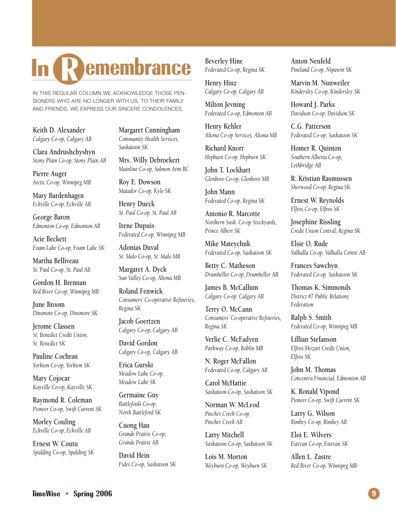### **R In emembrance**

IN THIS REGULAR COLUMN WE ACKNOWLEDGE THOSE PEN-SIONERS WHO ARE NO LONGER WITH US. TO THEIR FAMILY AND FRIENDS, WE EXPRESS OUR SINCERE CONDOLENCES.

**Keith D. Alexander** *Calgary Co-op, Calgary AB*

**Clara Andrushchyshyn** *Stony Plain Co-op, Stony Plain AB*

**Pierre Auger** *Arctic Co-op, Winnipeg MB*

**Mary Bardenhagen** *Eckville Co-op, Eckville AB*

**George Baron** *Edmonton Co-op, Edmonton AB*

**Acie Beckett** *Foam Lake Co-op, Foam Lake SK*

**Martha Belliveau** *St. Paul Co-op, St. Paul AB*

**Gordon H. Brennan** *Red River Co-op, Winnipeg MB*

**June Broom** *Dinsmore Co-op, Dinsmore SK*

**Jerome Classen** *St. Benedict Credit Union, St. Benedict SK*

**Pauline Cochran** *Yorkton Co-op, Yorkton SK*

**Mary Cojocar** *Kayville Co-op, Kayville SK*

**Raymond R. Coleman** *Pioneer Co-op, Swift Current SK*

**Morley Couling** *Eckville Co-op, Eckville AB*

**Ernest W. Coutu** *Spalding Co-op, Spalding SK* **Margaret Cunningham** *Community Health Services, Saskatoon SK*

**Mrs. Willy Debroekert** *Mainline Co-op, Salmon Arm BC*

**Roy E. Dowson** *Matador Co-op, Kyle SK*

**Henry Dueck** *St. Paul Co-op, St. Paul AB*

**Irene Dupuis** *Federated Co-op, Winnipeg MB*

**Adonias Duval** *St. Malo Co-op, St. Malo MB*

**Margaret A. Dyck** *Sun Valley Co-op, Altona MB*

**Roland Fenwick** *Consumers' Co-operative Refineries, Regina SK*

**Jacob Goertzen** *Calgary Co-op, Calgary AB*

**David Gordon** *Calgary Co-op, Calgary AB*

**Erica Gurski** *Meadow Lake Co-op, Meadow Lake SK*

**Germaine Guy** *Battlefords Co-op, North Battleford SK*

**Cuong Hau** *Grande Prairie Co-op, Grande Prairie AB*

**David Hein** *Fides Co-op, Saskatoon SK*

**Beverley Hine** *Federated Co-op, Regina SK*

**Henry Hinz** *Calgary Co-op, Calgary AB*

**Milton Jevning** *Federated Co-op, Edmonton AB*

**Henry Kehler** *Altona Co-op Services, Altona MB*

**Richard Knorr** *Hepburn Co-op, Hepburn SK*

**John T. Lockhart** *Glenboro Co-op, Glenboro MB*

**John Mann** *Federated Co-op, Regina SK*

**Antonio R. Marcotte** *Northern Sask. Co-op Stockyards, Prince Albert SK*

**Mike Mateychuk** *Federated Co-op, Saskatoon SK*

**Betty C. Matheson** *Drumheller Co-op, Drumheller AB*

**James B. McCallum** *Calgary Co-op, Calgary AB*

**Terry O. McCann** *Consumers' Co-operative Refineries, Regina SK*

**Verlie C. McFadyen** *Parkway Co-op, Roblin MB*

**N. Roger McFallon** *Federated Co-op, Calgary AB*

**Carol McHattie** *Saskatoon Co-op, Saskatoon SK*

**Norman W. McLeod** *Pincher Creek Co-op, Pincher Creek AB*

**Larry Mitchell** *Saskatoon Co-op, Saskatoon SK*

**Lois M. Morton** *Weyburn Co-op, Weyburn SK*

**Anton Neufeld** *Pineland Co-op, Nipawin SK*

**Marvin M. Nunweiler** *Kindersley Co-op, Kindersley SK*

**Howard J. Parks** *Davidson Co-op, Davidson SK*

**C.G. Patterson** *Federated Co-op, Saskatoon SK*

**Homer R. Quinton** *Southern Alberta Co-op, Lethbridge AB*

**R. Kristian Rasmussen** *Sherwood Co-op, Regina SK*

**Ernest W. Reynolds** *Elfros Co-op, Elfros SK*

**Josephine Rissling** *Credit Union Central, Regina SK*

**Elsie O. Rude** *Valhalla Co-op, Valhalla Centre AB*

**Frances Sawchyn** *Federated Co-op, Saskatoon SK*

**Thomas K. Simmonds** *District #7 Public Relations Federation*

**Ralph S. Smith** *Federated Co-op, Winnipeg MB*

**Lillian Stefanson** *Elfros-Mozart Credit Union, Elfros SK*

**John M. Thomas** *Concentra Financial, Edmonton AB*

**K. Ronald Vipond** *Pioneer Co-op, Swift Current SK*

**Larry G. Wilson** *Rimbey Co-op, Rimbey AB*

**Eloi E. Wilvers** *Estevan Co-op, Estevan SK*

**Allen L. Zastre** *Red River Co-op, Winnipeg MB*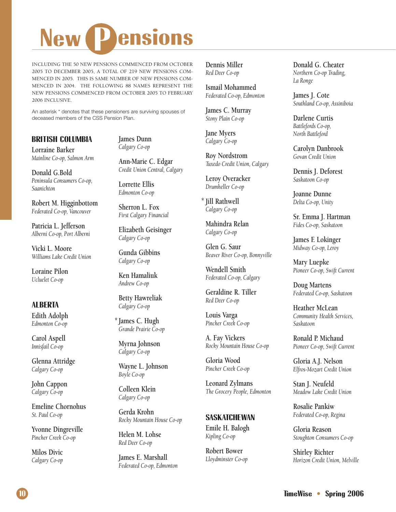# **New 2 Pensions**

INCLUDING THE 50 NEW PENSIONS COMMENCED FROM OCTOBER 2005 TO DECEMBER 2005, A TOTAL OF 219 NEW PENSIONS COM-MENCED IN 2005. THIS IS SAME NUMBER OF NEW PENSIONS COM-MENCED IN 2004. THE FOLLOWING 88 NAMES REPRESENT THE NEW PENSIONS COMMENCED FROM OCTOBER 2005 TO FEBRUARY 2006 INCLUSIVE.

An asterisk \* denotes that these pensioners are surviving spouses of deceased members of the CSS Pension Plan.

#### **BRITISH COLUMBIA**

**Lorraine Barker** *Mainline Co-op, Salmon Arm*

**Donald G.Bold** *Peninsula Consumers Co-op, Saanichton*

**Robert M. Higginbottom** *Federated Co-op, Vancouver*

**Patricia L. Jefferson** *Alberni Co-op, Port Alberni*

**Vicki L. Moore** *Williams Lake Credit Union*

**Loraine Pilon** *Ucluelet Co-op*

#### **ALBERTA**

**Edith Adolph** *Edmonton Co-op*

**Carol Aspell** *Innisfail Co-op*

**Glenna Attridge** *Calgary Co-op*

**John Cappon** *Calgary Co-op*

**Emeline Chornohus** *St. Paul Co-op*

**Yvonne Dingreville** *Pincher Creek Co-op*

**Milos Divic** *Calgary Co-op* **James Dunn** *Calgary Co-op*

**Ann-Marie C. Edgar** *Credit Union Central, Calgary*

**Lorrette Ellis** *Edmonton Co-op*

**Sherron L. Fox** *First Calgary Financial*

**Elizabeth Geisinger** *Calgary Co-op*

**Gunda Gibbins** *Calgary Co-op*

**Ken Hamaliuk** *Andrew Co-op*

**Betty Hawreliak** *Calgary Co-op*

**James C. Hugh \*** *Grande Prairie Co-op*

**Myrna Johnson** *Calgary Co-op*

**Wayne L. Johnson** *Boyle Co-op*

**Colleen Klein** *Calgary Co-op*

**Gerda Krohn** *Rocky Mountain House Co-op*

**Helen M. Lohse** *Red Deer Co-op*

**James E. Marshall** *Federated Co-op, Edmonton* **Dennis Miller** *Red Deer Co-op*

**Ismail Mohammed** *Federated Co-op, Edmonton*

**James C. Murray** *Stony Plain Co-op*

**Jane Myers** *Calgary Co-op*

**Roy Nordstrom** *Tuxedo Credit Union, Calgary*

**Leroy Overacker** *Drumheller Co-op*

**Jill Rathwell \****Calgary Co-op*

**Mahindra Relan** *Calgary Co-op*

**Glen G. Saur** *Beaver River Co-op, Bonnyville*

**Wendell Smith** *Federated Co-op, Calgary*

**Geraldine R. Tiller** *Red Deer Co-op*

**Louis Varga** *Pincher Creek Co-op*

**A. Fay Vickers** *Rocky Mountain House Co-op*

**Gloria Wood** *Pincher Creek Co-op*

**Leonard Zylmans** *The Grocery People, Edmonton*

#### **SASKATCHEWAN**

**Emile H. Balogh** *Kipling Co-op*

**Robert Bower** *Lloydminster Co-op* **Donald G. Cheater** *Northern Co-op Trading, La Ronge*

**James J. Cote** *Southland Co-op, Assiniboia*

**Darlene Curtis** *Battlefords Co-op, North Battleford*

**Carolyn Danbrook** *Govan Credit Union*

**Dennis J. Deforest** *Saskatoon Co-op*

**Joanne Dunne** *Delta Co-op, Unity*

**Sr. Emma J. Hartman** *Fides Co-op, Saskatoon*

**James F. Lokinger** *Midway Co-op, Leroy*

**Mary Luepke** *Pioneer Co-op, Swift Current*

**Doug Martens** *Federated Co-op, Saskatoon*

**Heather McLean** *Community Health Services, Saskatoon*

**Ronald P. Michaud** *Pioneer Co-op, Swift Current*

**Gloria A.J. Nelson** *Elfros-Mozart Credit Union*

**Stan J. Neufeld** *Meadow Lake Credit Union*

**Rosalie Pankiw** *Federated Co-op, Regina*

**Gloria Reason** *Stoughton Consumers Co-op*

**Shirley Richter** *Horizon Credit Union, Melville*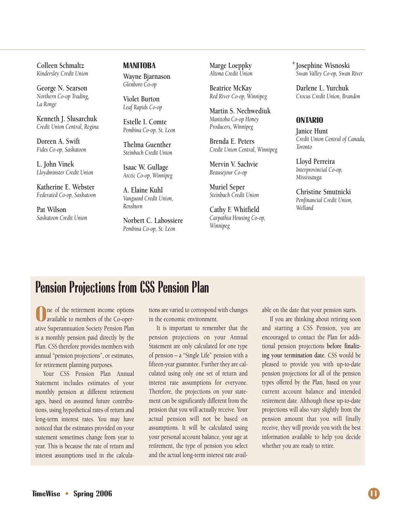**Colleen Schmaltz** *Kindersley Credit Union*

**George N. Searson** *Northern Co-op Trading, La Ronge*

**Kenneth J. Slusarchuk** *Credit Union Central, Regina*

**Doreen A. Swift** *Fides Co-op, Saskatoon*

**L. John Vinek** *Lloydminster Credit Union*

**Katherine E. Webster** *Federated Co-op, Saskatoon*

**Pat Wilson** *Saskatoon Credit Union* **MANITOBA Wayne Bjarnason** *Glenboro Co-op*

**Violet Burton** *Leaf Rapids Co-op*

**Estelle I. Comte** *Pembina Co-op, St. Leon*

**Thelma Guenther** *Steinbach Credit Union*

**Isaac W. Gullage** *Arctic Co-op, Winnipeg*

**A. Elaine Kuhl** *Vanguard Credit Union, Rossburn*

**Norbert C. Labossiere** *Pembina Co-op, St. Leon*

**Marge Loeppky** *Altona Credit Union*

**Beatrice McKay** *Red River Co-op, Winnipeg*

**Martin S. Nechwediuk** *Manitoba Co-op Honey Producers, Winnipeg*

**Brenda E. Peters** *Credit Union Central, Winnipeg*

**Mervin V. Sachvie** *Beausejour Co-op*

**Muriel Seper** *Steinbach Credit Union*

**Cathy F. Whitfield** *Carpathia Housing Co-op, Winnipeg*

**Josephine Wisnoski \****Swan Valley Co-op, Swan River*

**Darlene L. Yurchuk** *Crocus Credit Union, Brandon*

#### **ONTARIO**

**Janice Hunt** *Credit Union Central of Canada, Toronto*

**Lloyd Perreira** *Interprovincial Co-op, Mississauga*

**Christine Smutnicki** *Penfinancial Credit Union, Welland*

#### **Pension Projections from CSS Pension Plan**

**O**ne of the retirement income options<br>
available to members of the Co-oper-<br>
ative Superannuation Society Pension Plan ne of the retirement income options available to members of the Co-operis a monthly pension paid directly by the Plan. CSS therefore provides members with annual "pension projections", or estimates, for retirement planning purposes.

Your CSS Pension Plan Annual Statement includes estimates of your monthly pension at different retirement ages, based on assumed future contributions, using hypothetical rates of return and long-term interest rates. You may have noticed that the estimates provided on your statement sometimes change from year to year. This is because the rate of return and interest assumptions used in the calculations are varied to correspond with changes in the economic environment.

It is important to remember that the pension projections on your Annual Statement are only calculated for one type of pension – a "Single Life" pension with a fifteen-year guarantee. Further they are calculated using only one set of return and interest rate assumptions for everyone. Therefore, the projections on your statement can be significantly different from the pension that you will actually receive. Your actual pension will not be based on assumptions. It will be calculated using your personal account balance, your age at retirement, the type of pension you select and the actual long-term interest rate available on the date that your pension starts.

If you are thinking about retiring soon and starting a CSS Pension, you are encouraged to contact the Plan for additional pension projections **before finalizing your termination date**. CSS would be pleased to provide you with up-to-date pension projections for all of the pension types offered by the Plan, based on your current account balance and intended retirement date. Although these up-to-date projections will also vary slightly from the pension amount that you will finally receive, they will provide you with the best information available to help you decide whether you are ready to retire.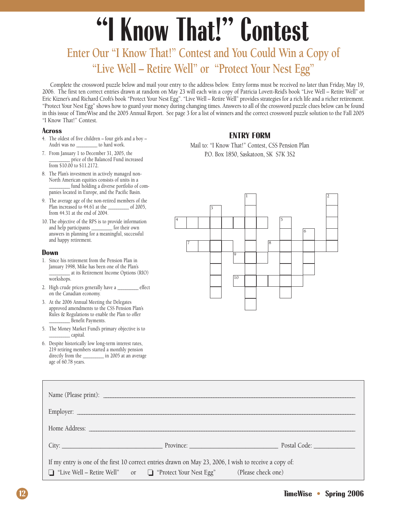# **"I Know That!" Contest**

#### **Enter Our "I Know That!" Contest and You Could Win a Copy of "Live Well – Retire Well" or "Protect Your Nest Egg"**

Complete the crossword puzzle below and mail your entry to the address below. Entry forms must be received no later than Friday, May 19, 2006. The first ten correct entries drawn at random on May 23 will each win a copy of Patricia Lovett-Reid's book "Live Well – Retire Well" or Eric Kizner's and Richard Croft's book "Protect Your Nest Egg". "Live Well – Retire Well" provides strategies for a rich life and a richer retirement. "Protect Your Nest Egg" shows how to guard your money during changing times. Answers to all of the crossword puzzle clues below can be found in this issue of TimeWise and the 2005 Annual Report. See page 3 for a list of winners and the correct crossword puzzle solution to the Fall 2005 "I Know That!" Contest.

#### **Across**

- 4. The oldest of five children four girls and a boy Audri was no  $\qquad \qquad$  to hard work.
- 7. From January 1 to December 31, 2005, the \_\_\_\_\_\_\_\_\_\_ price of the Balanced Fund increased from \$10.00 to \$11.2172.
- 8. The Plan's investment in actively managed non-North American equities consists of units in a fund holding a diverse portfolio of companies located in Europe, and the Pacific Basin.
- 9. The average age of the non-retired members of the Plan increased to 44.61 at the \_\_\_\_\_\_\_\_\_\_ of 2005, from 44.31 at the end of 2004.
- 10. The objective of the RPS is to provide information<br>and help participants \_\_\_\_\_\_\_\_\_\_\_ for their own and help participants \_\_\_\_\_\_\_ answers in planning for a meaningful, successful and happy retirement.

#### **Down**

- 1. Since his retirement from the Pension Plan in January 1998, Mike has been one of the Plan's \_\_\_\_\_\_\_\_\_\_ at its Retirement Income Options (RIO) workshops.
- 2. High crude prices generally have a \_\_\_\_\_\_\_\_\_\_ effect on the Canadian economy.
- 3. At the 2006 Annual Meeting the Delegates approved amendments to the CSS Pension Plan's Rules & Regulations to enable the Plan to offer \_\_\_\_\_\_\_\_\_\_ Benefit Payments.
- 5. The Money Market Fund's primary objective is to  $\_$  capital.
- 6. Despite historically low long-term interest rates, 219 retiring members started a monthly pension directly from the \_\_\_\_\_\_\_\_\_\_ in 2005 at an average age of 60.78 years.

#### **ENTRY FORM**

Mail to: "I Know That!" Contest, CSS Pension Plan P.O. Box 1850, Saskatoon, SK S7K 3S2



| Employer:                                                                                                                                                                             |  |                                                                                                                                                                                                                               |
|---------------------------------------------------------------------------------------------------------------------------------------------------------------------------------------|--|-------------------------------------------------------------------------------------------------------------------------------------------------------------------------------------------------------------------------------|
|                                                                                                                                                                                       |  |                                                                                                                                                                                                                               |
|                                                                                                                                                                                       |  | City: City: City: City: City: City: City: City: City: City: City: City: City: City: City: City: City: City: City: City: City: City: City: City: City: City: City: City: City: City: City: City: City: City: City: City: City: |
| If my entry is one of the first 10 correct entries drawn on May 23, 2006, I wish to receive a copy of:<br>□ "Live Well – Retire Well" or □ "Protect Your Nest Egg" (Please check one) |  |                                                                                                                                                                                                                               |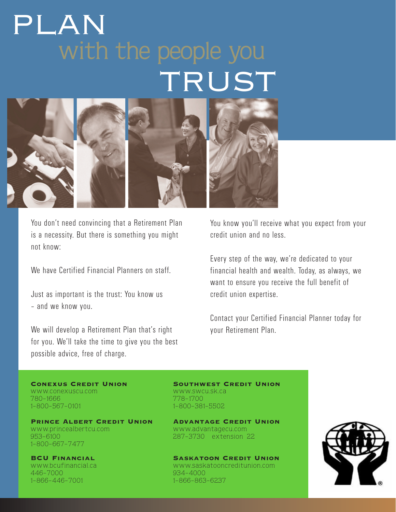### with the people you TRUST PLAN



You don't need convincing that a Retirement Plan is a necessity. But there is something you might not know:

We have Certified Financial Planners on staff.

Just as important is the trust: You know us – and we know you.

We will develop a Retirement Plan that's right for you. We'll take the time to give you the best possible advice, free of charge.

You know you'll receive what you expect from your credit union and no less.

Every step of the way, we're dedicated to your financial health and wealth. Today, as always, we want to ensure you receive the full benefit of credit union expertise.

Contact your Certified Financial Planner today for your Retirement Plan.

www.conexuscu.com www.swcu.sk.ca<br>780-1666 780-1700 780-1666<br>1-800-567-0101

Prince Albert Credit Union Advantage Credit Union www.princealbertcu.com www.advantagecu.com 953-6100 1-800-667-7477

446-7000 934-4000 1-866-446-7001

Conexus Credit Union Southwest Credit Union 1-800-381-5502

287-3730 extension 22

BCU Financial Saskatoon Credit Union www.bcufinancial.ca www.saskatooncreditunion.com